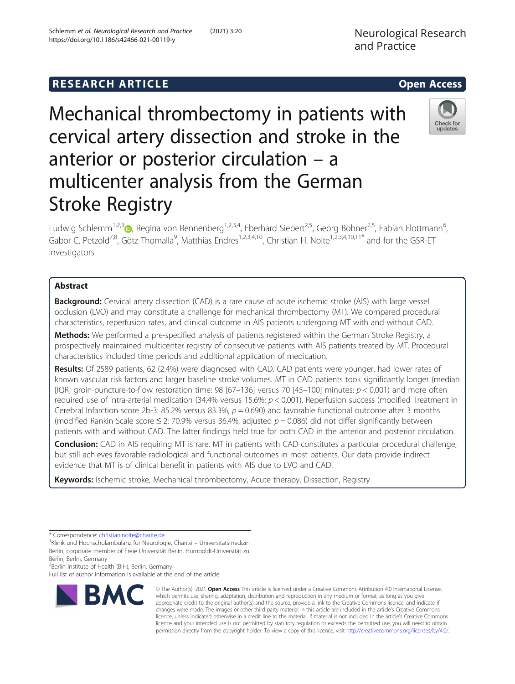# **RESEARCH ARTICLE Example 2014 CONSIDERING CONSIDERING CONSIDERING CONSIDERING CONSIDERING CONSIDERING CONSIDERING CONSIDERING CONSIDERING CONSIDERING CONSIDERING CONSIDERING CONSIDERING CONSIDERING CONSIDERING CONSIDE**

Mechanical thrombectomy in patients with cervical artery dissection and stroke in the anterior or posterior circulation – a multicenter analysis from the German Stroke Registry

Ludwig Schlemm<sup>1[,](http://orcid.org/0000-0003-4165-2366)2,3</sup> , Regina von Rennenberg<sup>1,2,3,4</sup>, Eberhard Siebert<sup>2,5</sup>, Georg Bohner<sup>2,5</sup>, Fabian Flottmann<sup>6</sup> , Gabor C. Petzold<sup>7,8</sup>, Götz Thomalla<sup>9</sup>, Matthias Endres<sup>1,2,3,4,10</sup>, Christian H. Nolte<sup>1,2,3,4,10,11\*</sup> and for the GSR-ET investigators

## Abstract

Background: Cervical artery dissection (CAD) is a rare cause of acute ischemic stroke (AIS) with large vessel occlusion (LVO) and may constitute a challenge for mechanical thrombectomy (MT). We compared procedural characteristics, reperfusion rates, and clinical outcome in AIS patients undergoing MT with and without CAD.

Methods: We performed a pre-specified analysis of patients registered within the German Stroke Registry, a prospectively maintained multicenter registry of consecutive patients with AIS patients treated by MT. Procedural characteristics included time periods and additional application of medication.

Results: Of 2589 patients, 62 (2.4%) were diagnosed with CAD. CAD patients were younger, had lower rates of known vascular risk factors and larger baseline stroke volumes. MT in CAD patients took significantly longer (median [IQR] groin-puncture-to-flow restoration time: 98  $[67-136]$  versus 70  $[45-100]$  minutes;  $p < 0.001$ ) and more often required use of intra-arterial medication (34.4% versus 15.6%;  $p < 0.001$ ). Reperfusion success (modified Treatment in Cerebral Infarction score 2b-3: 85.2% versus 83.3%,  $p = 0.690$ ) and favorable functional outcome after 3 months (modified Rankin Scale score  $\leq$  2: 70.9% versus 36.4%, adjusted  $p = 0.086$ ) did not differ significantly between patients with and without CAD. The latter findings held true for both CAD in the anterior and posterior circulation.

Conclusion: CAD in AIS requiring MT is rare. MT in patients with CAD constitutes a particular procedural challenge, but still achieves favorable radiological and functional outcomes in most patients. Our data provide indirect evidence that MT is of clinical benefit in patients with AIS due to LVO and CAD.

Keywords: Ischemic stroke, Mechanical thrombectomy, Acute therapy, Dissection, Registry

<sup>2</sup>Berlin Institute of Health (BIH), Berlin, Germany

Full list of author information is available at the end of the article



© The Author(s). 2021 Open Access This article is licensed under a Creative Commons Attribution 4.0 International License, which permits use, sharing, adaptation, distribution and reproduction in any medium or format, as long as you give appropriate credit to the original author(s) and the source, provide a link to the Creative Commons licence, and indicate if changes were made. The images or other third party material in this article are included in the article's Creative Commons licence, unless indicated otherwise in a credit line to the material. If material is not included in the article's Creative Commons licence and your intended use is not permitted by statutory regulation or exceeds the permitted use, you will need to obtain permission directly from the copyright holder. To view a copy of this licence, visit [http://creativecommons.org/licenses/by/4.0/.](http://creativecommons.org/licenses/by/4.0/)



<sup>\*</sup> Correspondence: [christian.nolte@charite.de](mailto:christian.nolte@charite.de) <sup>1</sup>

<sup>&</sup>lt;sup>1</sup>Klinik und Hochschulambulanz für Neurologie, Charité – Universitätsmedizin Berlin, corporate member of Freie Universität Berlin, Humboldt-Universität zu Berlin, Berlin, Germany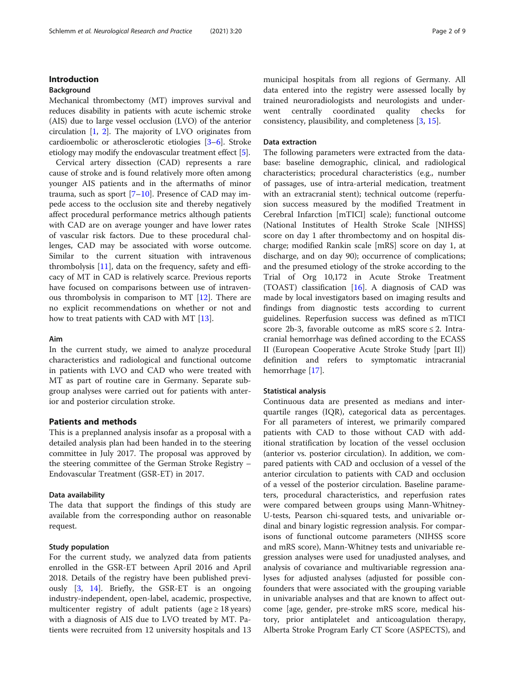## Introduction

#### Background

Mechanical thrombectomy (MT) improves survival and reduces disability in patients with acute ischemic stroke (AIS) due to large vessel occlusion (LVO) of the anterior circulation [[1,](#page-8-0) [2](#page-8-0)]. The majority of LVO originates from cardioembolic or atherosclerotic etiologies [[3](#page-8-0)–[6](#page-8-0)]. Stroke etiology may modify the endovascular treatment effect [\[5](#page-8-0)].

Cervical artery dissection (CAD) represents a rare cause of stroke and is found relatively more often among younger AIS patients and in the aftermaths of minor trauma, such as sport [\[7](#page-8-0)–[10\]](#page-8-0). Presence of CAD may impede access to the occlusion site and thereby negatively affect procedural performance metrics although patients with CAD are on average younger and have lower rates of vascular risk factors. Due to these procedural challenges, CAD may be associated with worse outcome. Similar to the current situation with intravenous thrombolysis [[11\]](#page-8-0), data on the frequency, safety and efficacy of MT in CAD is relatively scarce. Previous reports have focused on comparisons between use of intravenous thrombolysis in comparison to MT [[12](#page-8-0)]. There are no explicit recommendations on whether or not and how to treat patients with CAD with MT [\[13\]](#page-8-0).

#### Aim

In the current study, we aimed to analyze procedural characteristics and radiological and functional outcome in patients with LVO and CAD who were treated with MT as part of routine care in Germany. Separate subgroup analyses were carried out for patients with anterior and posterior circulation stroke.

## Patients and methods

This is a preplanned analysis insofar as a proposal with a detailed analysis plan had been handed in to the steering committee in July 2017. The proposal was approved by the steering committee of the German Stroke Registry – Endovascular Treatment (GSR-ET) in 2017.

#### Data availability

The data that support the findings of this study are available from the corresponding author on reasonable request.

#### Study population

For the current study, we analyzed data from patients enrolled in the GSR-ET between April 2016 and April 2018. Details of the registry have been published previously [[3,](#page-8-0) [14\]](#page-8-0). Briefly, the GSR-ET is an ongoing industry-independent, open-label, academic, prospective, multicenter registry of adult patients (age  $\geq$  18 years) with a diagnosis of AIS due to LVO treated by MT. Patients were recruited from 12 university hospitals and 13 municipal hospitals from all regions of Germany. All data entered into the registry were assessed locally by trained neuroradiologists and neurologists and underwent centrally coordinated quality checks for consistency, plausibility, and completeness [[3,](#page-8-0) [15\]](#page-8-0).

#### Data extraction

The following parameters were extracted from the database: baseline demographic, clinical, and radiological characteristics; procedural characteristics (e.g., number of passages, use of intra-arterial medication, treatment with an extracranial stent); technical outcome (reperfusion success measured by the modified Treatment in Cerebral Infarction [mTICI] scale); functional outcome (National Institutes of Health Stroke Scale [NIHSS] score on day 1 after thrombectomy and on hospital discharge; modified Rankin scale [mRS] score on day 1, at discharge, and on day 90); occurrence of complications; and the presumed etiology of the stroke according to the Trial of Org 10,172 in Acute Stroke Treatment (TOAST) classification [\[16](#page-8-0)]. A diagnosis of CAD was made by local investigators based on imaging results and findings from diagnostic tests according to current guidelines. Reperfusion success was defined as mTICI score 2b-3, favorable outcome as mRS score ≤ 2. Intracranial hemorrhage was defined according to the ECASS II (European Cooperative Acute Stroke Study [part II]) definition and refers to symptomatic intracranial hemorrhage [[17\]](#page-8-0).

#### Statistical analysis

Continuous data are presented as medians and interquartile ranges (IQR), categorical data as percentages. For all parameters of interest, we primarily compared patients with CAD to those without CAD with additional stratification by location of the vessel occlusion (anterior vs. posterior circulation). In addition, we compared patients with CAD and occlusion of a vessel of the anterior circulation to patients with CAD and occlusion of a vessel of the posterior circulation. Baseline parameters, procedural characteristics, and reperfusion rates were compared between groups using Mann-Whitney-U-tests, Pearson chi-squared tests, and univariable ordinal and binary logistic regression analysis. For comparisons of functional outcome parameters (NIHSS score and mRS score), Mann-Whitney tests and univariable regression analyses were used for unadjusted analyses, and analysis of covariance and multivariable regression analyses for adjusted analyses (adjusted for possible confounders that were associated with the grouping variable in univariable analyses and that are known to affect outcome [age, gender, pre-stroke mRS score, medical history, prior antiplatelet and anticoagulation therapy, Alberta Stroke Program Early CT Score (ASPECTS), and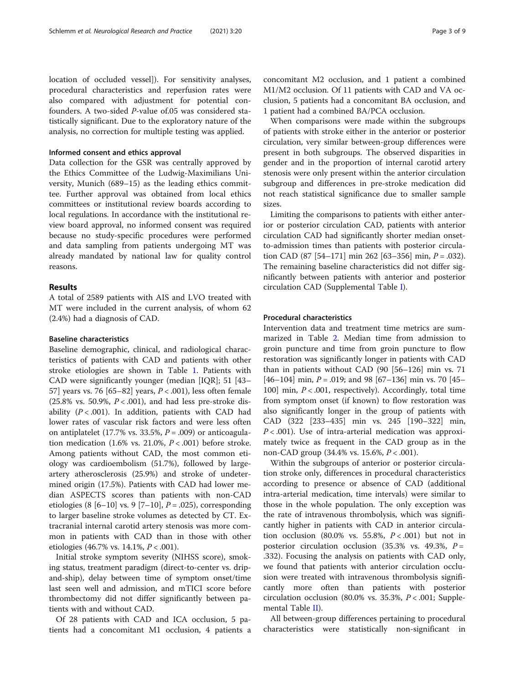location of occluded vessel]). For sensitivity analyses, procedural characteristics and reperfusion rates were also compared with adjustment for potential confounders. A two-sided P-value of.05 was considered statistically significant. Due to the exploratory nature of the analysis, no correction for multiple testing was applied.

## Informed consent and ethics approval

Data collection for the GSR was centrally approved by the Ethics Committee of the Ludwig-Maximilians University, Munich (689–15) as the leading ethics committee. Further approval was obtained from local ethics committees or institutional review boards according to local regulations. In accordance with the institutional review board approval, no informed consent was required because no study-specific procedures were performed and data sampling from patients undergoing MT was already mandated by national law for quality control reasons.

## Results

A total of 2589 patients with AIS and LVO treated with MT were included in the current analysis, of whom 62 (2.4%) had a diagnosis of CAD.

#### Baseline characteristics

Baseline demographic, clinical, and radiological characteristics of patients with CAD and patients with other stroke etiologies are shown in Table [1](#page-3-0). Patients with CAD were significantly younger (median [IQR]; 51 [43– 57] years vs. 76 [65–82] years, P < .001), less often female  $(25.8\% \text{ vs. } 50.9\%, P < .001)$ , and had less pre-stroke disability  $(P < .001)$ . In addition, patients with CAD had lower rates of vascular risk factors and were less often on antiplatelet (17.7% vs. 33.5%,  $P = .009$ ) or anticoagulation medication (1.6% vs. 21.0%,  $P < .001$ ) before stroke. Among patients without CAD, the most common etiology was cardioembolism (51.7%), followed by largeartery atherosclerosis (25.9%) and stroke of undetermined origin (17.5%). Patients with CAD had lower median ASPECTS scores than patients with non-CAD etiologies (8 [6–10] vs. 9 [7–10],  $P = .025$ ), corresponding to larger baseline stroke volumes as detected by CT. Extracranial internal carotid artery stenosis was more common in patients with CAD than in those with other etiologies (46.7% vs. 14.1%, P < .001).

Initial stroke symptom severity (NIHSS score), smoking status, treatment paradigm (direct-to-center vs. dripand-ship), delay between time of symptom onset/time last seen well and admission, and mTICI score before thrombectomy did not differ significantly between patients with and without CAD.

Of 28 patients with CAD and ICA occlusion, 5 patients had a concomitant M1 occlusion, 4 patients a concomitant M2 occlusion, and 1 patient a combined M1/M2 occlusion. Of 11 patients with CAD and VA occlusion, 5 patients had a concomitant BA occlusion, and 1 patient had a combined BA/PCA occlusion.

When comparisons were made within the subgroups of patients with stroke either in the anterior or posterior circulation, very similar between-group differences were present in both subgroups. The observed disparities in gender and in the proportion of internal carotid artery stenosis were only present within the anterior circulation subgroup and differences in pre-stroke medication did not reach statistical significance due to smaller sample sizes.

Limiting the comparisons to patients with either anterior or posterior circulation CAD, patients with anterior circulation CAD had significantly shorter median onsetto-admission times than patients with posterior circulation CAD (87 [54–171] min 262 [63–356] min,  $P = .032$ ). The remaining baseline characteristics did not differ significantly between patients with anterior and posterior circulation CAD (Supplemental Table [I](#page-7-0)).

## Procedural characteristics

Intervention data and treatment time metrics are summarized in Table [2](#page-4-0). Median time from admission to groin puncture and time from groin puncture to flow restoration was significantly longer in patients with CAD than in patients without CAD (90 [56–126] min vs. 71 [46–104] min,  $P = .019$ ; and 98 [67–136] min vs. 70 [45– 100] min, P < .001, respectively). Accordingly, total time from symptom onset (if known) to flow restoration was also significantly longer in the group of patients with CAD (322 [233–435] min vs. 245 [190–322] min,  $P < .001$ ). Use of intra-arterial medication was approximately twice as frequent in the CAD group as in the non-CAD group (34.4% vs. 15.6%,  $P < .001$ ).

Within the subgroups of anterior or posterior circulation stroke only, differences in procedural characteristics according to presence or absence of CAD (additional intra-arterial medication, time intervals) were similar to those in the whole population. The only exception was the rate of intravenous thrombolysis, which was significantly higher in patients with CAD in anterior circulation occlusion (80.0% vs. 55.8%,  $P < .001$ ) but not in posterior circulation occlusion (35.3% vs. 49.3%,  $P =$ .332). Focusing the analysis on patients with CAD only, we found that patients with anterior circulation occlusion were treated with intravenous thrombolysis significantly more often than patients with posterior circulation occlusion (80.0% vs. 35.3%,  $P < .001$ ; Supplemental Table [II](#page-7-0)).

All between-group differences pertaining to procedural characteristics were statistically non-significant in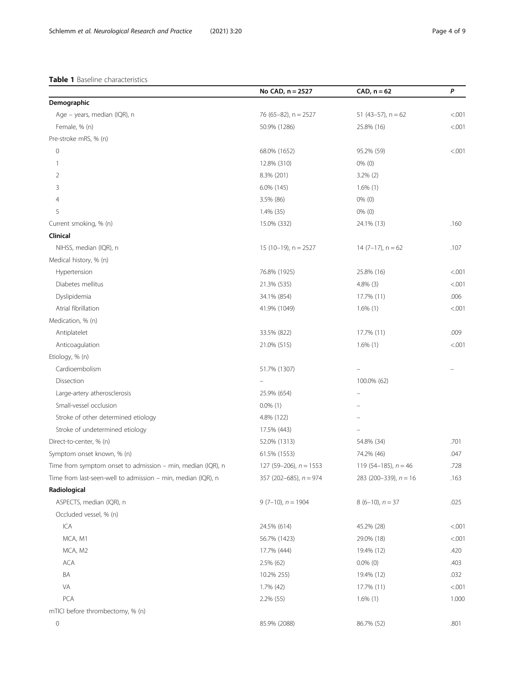## <span id="page-3-0"></span>Table 1 Baseline characteristics

|                                                              | No CAD, n = 2527         | CAD, $n = 62$           | P       |
|--------------------------------------------------------------|--------------------------|-------------------------|---------|
| Demographic                                                  |                          |                         |         |
| Age - years, median (IQR), n                                 | 76 (65-82), n = 2527     | 51 (43-57), $n = 62$    | < .001  |
| Female, % (n)                                                | 50.9% (1286)             | 25.8% (16)              | < .001  |
| Pre-stroke mRS, % (n)                                        |                          |                         |         |
| 0                                                            | 68.0% (1652)             | 95.2% (59)              | < 0.001 |
| 1                                                            | 12.8% (310)              | $0\%$ (0)               |         |
| 2                                                            | 8.3% (201)               | $3.2\%$ (2)             |         |
| 3                                                            | 6.0% (145)               | $1.6\%$ (1)             |         |
| 4                                                            | 3.5% (86)                | $0\%$ (0)               |         |
| 5                                                            | 1.4% (35)                | $0\%$ (0)               |         |
| Current smoking, % (n)                                       | 15.0% (332)              | 24.1% (13)              | .160    |
| Clinical                                                     |                          |                         |         |
| NIHSS, median (IQR), n                                       | 15 (10-19), $n = 2527$   | $14(7-17)$ , n = 62     | .107    |
| Medical history, % (n)                                       |                          |                         |         |
| Hypertension                                                 | 76.8% (1925)             | 25.8% (16)              | < .001  |
| Diabetes mellitus                                            | 21.3% (535)              | $4.8\%$ (3)             | < .001  |
| Dyslipidemia                                                 | 34.1% (854)              | 17.7% (11)              | .006    |
| Atrial fibrillation                                          | 41.9% (1049)             | $1.6\%$ (1)             | < .001  |
| Medication, % (n)                                            |                          |                         |         |
| Antiplatelet                                                 | 33.5% (822)              | 17.7% (11)              | .009    |
| Anticoagulation                                              | 21.0% (515)              | $1.6\%$ (1)             | < .001  |
| Etiology, % (n)                                              |                          |                         |         |
| Cardioembolism                                               | 51.7% (1307)             |                         |         |
| Dissection                                                   |                          | 100.0% (62)             |         |
| Large-artery atherosclerosis                                 | 25.9% (654)              |                         |         |
| Small-vessel occlusion                                       | $0.0\%$ (1)              |                         |         |
| Stroke of other determined etiology                          | 4.8% (122)               |                         |         |
| Stroke of undetermined etiology                              | 17.5% (443)              |                         |         |
| Direct-to-center, % (n)                                      | 52.0% (1313)             | 54.8% (34)              | .701    |
| Symptom onset known, % (n)                                   | 61.5% (1553)             | 74.2% (46)              | .047    |
| Time from symptom onset to admission - min, median (IQR), n  | 127 (59-206), $n = 1553$ | 119 (54–185), $n = 46$  | .728    |
| Time from last-seen-well to admission - min, median (IQR), n | 357 (202–685), $n = 974$ | 283 (200-339), $n = 16$ | .163    |
| Radiological                                                 |                          |                         |         |
| ASPECTS, median (IQR), n                                     | $9(7-10)$ , $n = 1904$   | $8(6-10)$ , $n = 37$    | .025    |
| Occluded vessel, % (n)                                       |                          |                         |         |
| ICA                                                          | 24.5% (614)              | 45.2% (28)              | < .001  |
| MCA, M1                                                      | 56.7% (1423)             | 29.0% (18)              | < .001  |
| MCA, M2                                                      | 17.7% (444)              | 19.4% (12)              | .420    |
| ACA                                                          | 2.5% (62)                | $0.0\%$ (0)             | .403    |
| BA                                                           | 10.2% 255)               | 19.4% (12)              | .032    |
| VA                                                           | 1.7% (42)                | 17.7% (11)              | < .001  |
| PCA                                                          | 2.2% (55)                | $1.6\%$ (1)             | 1.000   |
| mTICI before thrombectomy, % (n)                             |                          |                         |         |
| 0                                                            | 85.9% (2088)             | 86.7% (52)              | .801    |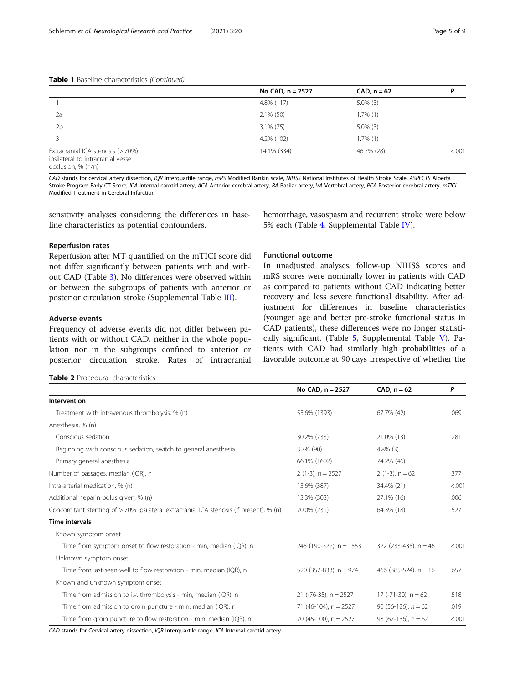<span id="page-4-0"></span>

|                                                                                               | No CAD, $n = 2527$ | $CAD, n = 62$ | D      |
|-----------------------------------------------------------------------------------------------|--------------------|---------------|--------|
|                                                                                               | 4.8% (117)         | $5.0\%$ (3)   |        |
| 2a                                                                                            | $2.1\%$ (50)       | $1.7\%$ (1)   |        |
| 2 <sub>b</sub>                                                                                | $3.1\%$ (75)       | $5.0\%$ (3)   |        |
|                                                                                               | 4.2% (102)         | $1.7\%$ (1)   |        |
| Extracranial ICA stenosis (> 70%)<br>ipsilateral to intracranial vessel<br>occlusion, % (n/n) | 14.1% (334)        | 46.7% (28)    | < .001 |

CAD stands for cervical artery dissection, IQR Interquartile range, mRS Modified Rankin scale, NIHSS National Institutes of Health Stroke Scale, ASPECTS Alberta Stroke Program Early CT Score, ICA Internal carotid artery, ACA Anterior cerebral artery, BA Basilar artery, VA Vertebral artery, PCA Posterior cerebral artery, mTICI Modified Treatment in Cerebral Infarction

sensitivity analyses considering the differences in baseline characteristics as potential confounders.

## Reperfusion rates

Reperfusion after MT quantified on the mTICI score did not differ significantly between patients with and without CAD (Table [3\)](#page-5-0). No differences were observed within or between the subgroups of patients with anterior or posterior circulation stroke (Supplemental Table [III\)](#page-7-0).

## Adverse events

Frequency of adverse events did not differ between patients with or without CAD, neither in the whole population nor in the subgroups confined to anterior or posterior circulation stroke. Rates of intracranial

Table 2 Procedural characteristics

hemorrhage, vasospasm and recurrent stroke were below 5% each (Table [4,](#page-5-0) Supplemental Table [IV\)](#page-7-0).

## Functional outcome

In unadjusted analyses, follow-up NIHSS scores and mRS scores were nominally lower in patients with CAD as compared to patients without CAD indicating better recovery and less severe functional disability. After adjustment for differences in baseline characteristics (younger age and better pre-stroke functional status in CAD patients), these differences were no longer statistically significant. (Table [5,](#page-6-0) Supplemental Table [V\)](#page-7-0). Patients with CAD had similarly high probabilities of a favorable outcome at 90 days irrespective of whether the

|                                                                                         | No CAD, n = 2527          | $CAD, n = 62$           | P       |
|-----------------------------------------------------------------------------------------|---------------------------|-------------------------|---------|
| Intervention                                                                            |                           |                         |         |
| Treatment with intravenous thrombolysis, % (n)                                          | 55.6% (1393)              | 67.7% (42)              | .069    |
| Anesthesia, % (n)                                                                       |                           |                         |         |
| Conscious sedation                                                                      | 30.2% (733)               | 21.0% (13)              | .281    |
| Beginning with conscious sedation, switch to general anesthesia                         | 3.7% (90)                 | $4.8\%$ (3)             |         |
| Primary general anesthesia                                                              | 66.1% (1602)              | 74.2% (46)              |         |
| Number of passages, median (IQR), n                                                     | 2 $(1-3)$ , n = 2527      | 2 $(1-3)$ , n = 62      | .377    |
| Intra-arterial medication, % (n)                                                        | 15.6% (387)               | 34.4% (21)              | < 0.001 |
| Additional heparin bolus given, % (n)                                                   | 13.3% (303)               | 27.1% (16)              | .006    |
| Concomitant stenting of > 70% ipsilateral extracranial ICA stenosis (if present), % (n) | 70.0% (231)               | 64.3% (18)              | .527    |
| <b>Time intervals</b>                                                                   |                           |                         |         |
| Known symptom onset                                                                     |                           |                         |         |
| Time from symptom onset to flow restoration - min, median (IQR), n                      | 245 (190-322), $n = 1553$ | 322 (233-435), $n = 46$ | < 0.001 |
| Unknown symptom onset                                                                   |                           |                         |         |
| Time from last-seen-well to flow restoration - min, median (IQR), n                     | 520 (352-833), $n = 974$  | 466 (385-524), $n = 16$ | .657    |
| Known and unknown symptom onset                                                         |                           |                         |         |
| Time from admission to i.v. thrombolysis - min, median (IQR), n                         | $21$ (-76-35), n = 2527   | $17$ (-71-30), n = 62   | .518    |
| Time from admission to groin puncture - min, median (IQR), n                            | 71 (46-104), $n = 2527$   | 90 (56-126), $n = 62$   | .019    |
| Time from groin puncture to flow restoration - min, median (IQR), n                     | 70 (45-100), $n = 2527$   | 98 (67-136), $n = 62$   | < 0.001 |

CAD stands for Cervical artery dissection, IQR Interquartile range, ICA Internal carotid artery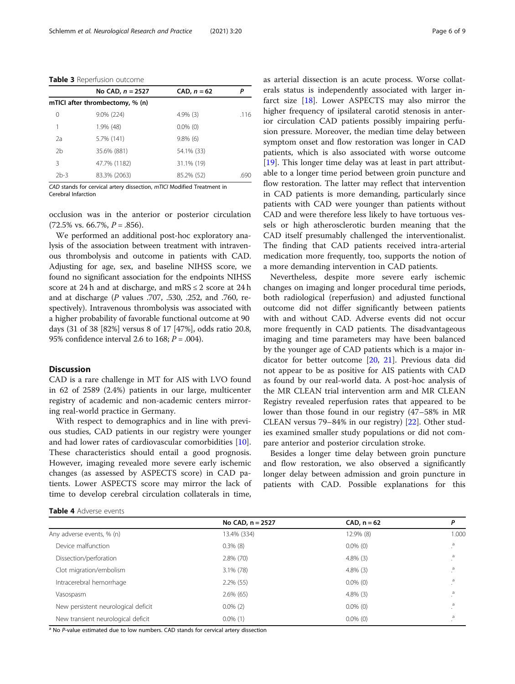#### <span id="page-5-0"></span>Table 3 Reperfusion outcome

|                | No CAD, $n = 2527$              | CAD, $n = 62$ | Р    |
|----------------|---------------------------------|---------------|------|
|                | mTICI after thrombectomy, % (n) |               |      |
| $\Omega$       | 9.0% (224)                      | $4.9\%$ (3)   | .116 |
|                | 1.9% (48)                       | $0.0\%$ (0)   |      |
| 2a             | 5.7% (141)                      | $9.8\%$ (6)   |      |
| 2 <sub>b</sub> | 35.6% (881)                     | 54.1% (33)    |      |
| 3              | 47.7% (1182)                    | 31.1% (19)    |      |
| $2b-3$         | 83.3% (2063)                    | 85.2% (52)    | .690 |
|                |                                 |               |      |

CAD stands for cervical artery dissection, mTICI Modified Treatment in Cerebral Infarction

occlusion was in the anterior or posterior circulation  $(72.5\% \text{ vs. } 66.7\%, P = .856).$ 

We performed an additional post-hoc exploratory analysis of the association between treatment with intravenous thrombolysis and outcome in patients with CAD. Adjusting for age, sex, and baseline NIHSS score, we found no significant association for the endpoints NIHSS score at 24 h and at discharge, and  $mRS \le 2$  score at 24 h and at discharge (P values .707, .530, .252, and .760, respectively). Intravenous thrombolysis was associated with a higher probability of favorable functional outcome at 90 days (31 of 38 [82%] versus 8 of 17 [47%], odds ratio 20.8, 95% confidence interval 2.6 to 168;  $P = .004$ ).

#### **Discussion**

CAD is a rare challenge in MT for AIS with LVO found in 62 of 2589 (2.4%) patients in our large, multicenter registry of academic and non-academic centers mirroring real-world practice in Germany.

With respect to demographics and in line with previous studies, CAD patients in our registry were younger and had lower rates of cardiovascular comorbidities [\[10](#page-8-0)]. These characteristics should entail a good prognosis. However, imaging revealed more severe early ischemic changes (as assessed by ASPECTS score) in CAD patients. Lower ASPECTS score may mirror the lack of time to develop cerebral circulation collaterals in time,

as arterial dissection is an acute process. Worse collaterals status is independently associated with larger infarct size [\[18\]](#page-8-0). Lower ASPECTS may also mirror the higher frequency of ipsilateral carotid stenosis in anterior circulation CAD patients possibly impairing perfusion pressure. Moreover, the median time delay between symptom onset and flow restoration was longer in CAD patients, which is also associated with worse outcome [[19\]](#page-8-0). This longer time delay was at least in part attributable to a longer time period between groin puncture and flow restoration. The latter may reflect that intervention in CAD patients is more demanding, particularly since patients with CAD were younger than patients without CAD and were therefore less likely to have tortuous vessels or high atherosclerotic burden meaning that the CAD itself presumably challenged the interventionalist. The finding that CAD patients received intra-arterial medication more frequently, too, supports the notion of a more demanding intervention in CAD patients.

Nevertheless, despite more severe early ischemic changes on imaging and longer procedural time periods, both radiological (reperfusion) and adjusted functional outcome did not differ significantly between patients with and without CAD. Adverse events did not occur more frequently in CAD patients. The disadvantageous imaging and time parameters may have been balanced by the younger age of CAD patients which is a major indicator for better outcome [\[20,](#page-8-0) [21\]](#page-8-0). Previous data did not appear to be as positive for AIS patients with CAD as found by our real-world data. A post-hoc analysis of the MR CLEAN trial intervention arm and MR CLEAN Registry revealed reperfusion rates that appeared to be lower than those found in our registry (47–58% in MR CLEAN versus 79–84% in our registry) [[22\]](#page-8-0). Other studies examined smaller study populations or did not compare anterior and posterior circulation stroke.

Besides a longer time delay between groin puncture and flow restoration, we also observed a significantly longer delay between admission and groin puncture in patients with CAD. Possible explanations for this

Table 4 Adverse events

|                                     | No CAD, $n = 2527$ | $CAD, n = 62$ | P            |
|-------------------------------------|--------------------|---------------|--------------|
| Any adverse events, % (n)           | 13.4% (334)        | 12.9% (8)     | 1.000        |
| Device malfunction                  | $0.3\%$ (8)        | $0.0\%$ (0)   | $\cdot^a$    |
| Dissection/perforation              | 2.8% (70)          | $4.8\%$ (3)   | a            |
| Clot migration/embolism             | $3.1\%$ (78)       | $4.8\%$ (3)   | a            |
| Intracerebral hemorrhage            | $2.2\%$ (55)       | $0.0\%$ (0)   | a<br>$\cdot$ |
| Vasospasm                           | $2.6\%$ (65)       | $4.8\%$ (3)   | a            |
| New persistent neurological deficit | $0.0\%$ (2)        | $0.0\%$ (0)   | a            |
| New transient neurological deficit  | $0.0\%$ (1)        | $0.0\%$ (0)   | a            |

<sup>a</sup> No P-value estimated due to low numbers. CAD stands for cervical artery dissection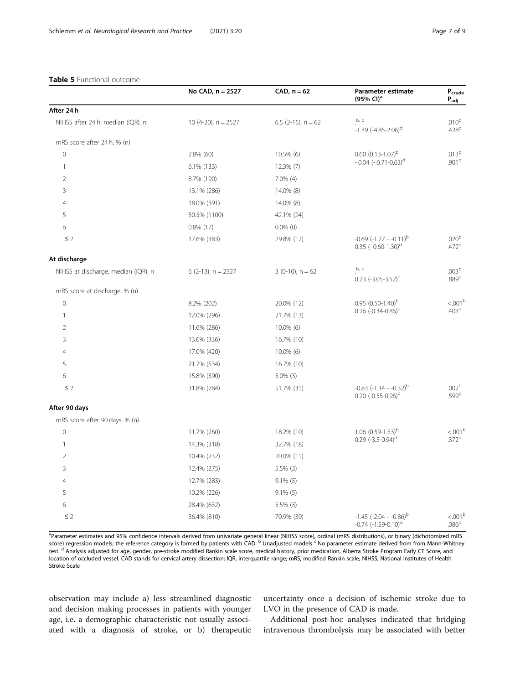## <span id="page-6-0"></span>Table 5 Functional outcome

|                                     | No CAD, n = 2527      | CAD, $n = 62$           | Parameter estimate<br>$(95\% \text{ Cl})^a$                         | Pcrude<br>$P_{\text{adj}}$              |
|-------------------------------------|-----------------------|-------------------------|---------------------------------------------------------------------|-----------------------------------------|
| After 24 h                          |                       |                         |                                                                     |                                         |
| NIHSS after 24 h, median (IQR), n   | 10 (4-20), $n = 2527$ | 6.5 $(2-15)$ , $n = 62$ | b, c<br>$-1.39$ (-4.85-2.06) <sup>d</sup>                           | $.010^{b}$<br>$.428^{\rm d}$            |
| mRS score after 24 h, % (n)         |                       |                         |                                                                     |                                         |
| $\mathbf 0$                         | 2.8% (60)             | 10.5% (6)               | $0.60$ $(0.13 - 1.07)^{b}$<br>$-0.04$ ( $-0.71$ -0.63) <sup>d</sup> | .013 <sup>b</sup><br>.901 <sup>d</sup>  |
| $\overline{1}$                      | $6.1\%$ (133)         | 12.3% (7)               |                                                                     |                                         |
| $\overline{2}$                      | 8.7% (190)            | $7.0\%$ (4)             |                                                                     |                                         |
| 3                                   | 13.1% (286)           | 14.0% (8)               |                                                                     |                                         |
| $\overline{4}$                      | 18.0% (391)           | 14.0% (8)               |                                                                     |                                         |
| 5                                   | 50.5% (1100)          | 42.1% (24)              |                                                                     |                                         |
| 6                                   | $0.8\%$ (17)          | $0.0\%$ (0)             |                                                                     |                                         |
| $\leq$ 2                            | 17.6% (383)           | 29.8% (17)              | $-0.69$ $(-1.27 - 0.11)^{b}$<br>$0.35$ (-0.60-1.30) <sup>d</sup>    | .020 <sup>b</sup><br>.472 <sup>d</sup>  |
| At discharge                        |                       |                         |                                                                     |                                         |
| NIHSS at discharge, median (IQR), n | $6(2-13)$ , n = 2527  | $3(0-10)$ , n = 62      | b, c<br>0.23 $(-3.05-3.52)$ <sup>d</sup>                            | .003 <sup>b</sup><br>.889 <sup>d</sup>  |
| mRS score at discharge, % (n)       |                       |                         |                                                                     |                                         |
| $\mathbf 0$                         | 8.2% (202)            | 20.0% (12)              | $0.95$ $(0.50-1.40)^{b}$                                            | < 0.001<br>.403 <sup>d</sup>            |
| -1                                  | 12.0% (296)           | 21.7% (13)              | $0.26$ (-0.34-0.86) <sup>d</sup>                                    |                                         |
| 2                                   | 11.6% (286)           | $10.0\%$ (6)            |                                                                     |                                         |
| 3                                   | 13.6% (336)           | 16.7% (10)              |                                                                     |                                         |
| 4                                   | 17.0% (420)           | 10.0% (6)               |                                                                     |                                         |
| 5                                   | 21.7% (534)           | 16.7% (10)              |                                                                     |                                         |
| 6                                   | 15.8% (390)           | $5.0\%$ (3)             |                                                                     |                                         |
| $\leq$ 2                            | 31.8% (784)           | 51.7% (31)              | $-0.83$ ( $-1.34 - -0.32$ ) <sup>b</sup><br>0.20 $(-0.55 - 0.96)^d$ | .002 <sup>b</sup><br>.599 <sup>d</sup>  |
| After 90 days                       |                       |                         |                                                                     |                                         |
| mRS score after 90 days, % (n)      |                       |                         |                                                                     |                                         |
| $\mathbf 0$                         | 11.7% (260)           | 18.2% (10)              | 1.06 $(0.59 - 1.53)^{b}$                                            | < 001 <sup>b</sup>                      |
| $\mathbf{1}$                        | 14.3% (318)           | 32.7% (18)              | 0.29 $(-3.5 - 0.94)$ <sup>d</sup>                                   | .372 <sup>d</sup>                       |
| $\overline{2}$                      | 10.4% (232)           | 20.0% (11)              |                                                                     |                                         |
| 3                                   | 12.4% (275)           | $5.5\%$ (3)             |                                                                     |                                         |
| $\overline{4}$                      | 12.7% (283)           | $9.1\%$ (5)             |                                                                     |                                         |
| 5                                   | 10.2% (226)           | $9.1\%$ (5)             |                                                                     |                                         |
| 6                                   | 28.4% (632)           | $5.5\%$ (3)             |                                                                     |                                         |
| $\leq$ 2                            | 36.4% (810)           | 70.9% (39)              | $-1.45$ (-2.04 - -0.86) <sup>b</sup><br>$-0.74$ $(-1.59 - 0.10)^d$  | < 001 <sup>b</sup><br>.086 <sup>d</sup> |

<sup>a</sup>Parameter estimates and 95% confidence intervals derived from univariate general linear (NIHSS score), ordinal (mRS distributions), or binary (dichotomized mRS score) regression models; the reference category is formed by patients with CAD. <sup>b</sup> Unadjusted models <sup>c</sup> No parameter estimate derived from from Mann-Whitney test. <sup>d</sup> Analysis adjusted for age, gender, pre-stroke modified Rankin scale score, medical history, prior medication, Alberta Stroke Program Early CT Score, and location of occluded vessel. CAD stands for cervical artery dissection; IQR, interquartile range; mRS, modified Rankin scale; NIHSS, National Institutes of Health Stroke Scale

observation may include a) less streamlined diagnostic and decision making processes in patients with younger age, i.e. a demographic characteristic not usually associated with a diagnosis of stroke, or b) therapeutic

uncertainty once a decision of ischemic stroke due to LVO in the presence of CAD is made.

Additional post-hoc analyses indicated that bridging intravenous thrombolysis may be associated with better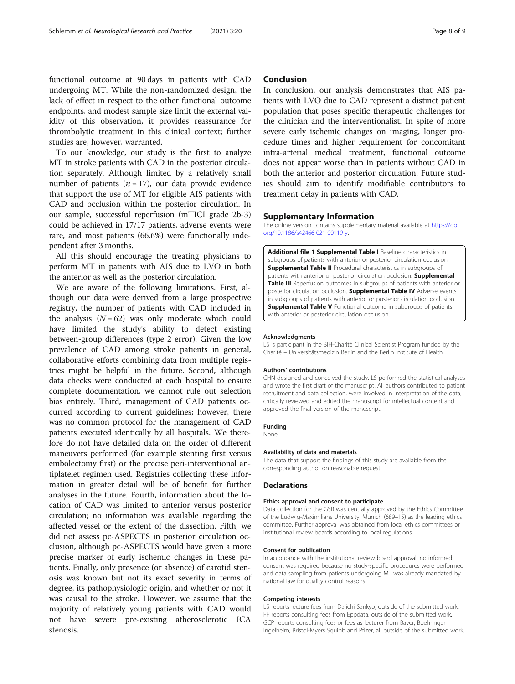<span id="page-7-0"></span>functional outcome at 90 days in patients with CAD undergoing MT. While the non-randomized design, the lack of effect in respect to the other functional outcome endpoints, and modest sample size limit the external validity of this observation, it provides reassurance for thrombolytic treatment in this clinical context; further studies are, however, warranted.

To our knowledge, our study is the first to analyze MT in stroke patients with CAD in the posterior circulation separately. Although limited by a relatively small number of patients ( $n = 17$ ), our data provide evidence that support the use of MT for eligible AIS patients with CAD and occlusion within the posterior circulation. In our sample, successful reperfusion (mTICI grade 2b-3) could be achieved in 17/17 patients, adverse events were rare, and most patients (66.6%) were functionally independent after 3 months.

All this should encourage the treating physicians to perform MT in patients with AIS due to LVO in both the anterior as well as the posterior circulation.

We are aware of the following limitations. First, although our data were derived from a large prospective registry, the number of patients with CAD included in the analysis  $(N = 62)$  was only moderate which could have limited the study's ability to detect existing between-group differences (type 2 error). Given the low prevalence of CAD among stroke patients in general, collaborative efforts combining data from multiple registries might be helpful in the future. Second, although data checks were conducted at each hospital to ensure complete documentation, we cannot rule out selection bias entirely. Third, management of CAD patients occurred according to current guidelines; however, there was no common protocol for the management of CAD patients executed identically by all hospitals. We therefore do not have detailed data on the order of different maneuvers performed (for example stenting first versus embolectomy first) or the precise peri-interventional antiplatelet regimen used. Registries collecting these information in greater detail will be of benefit for further analyses in the future. Fourth, information about the location of CAD was limited to anterior versus posterior circulation; no information was available regarding the affected vessel or the extent of the dissection. Fifth, we did not assess pc-ASPECTS in posterior circulation occlusion, although pc-ASPECTS would have given a more precise marker of early ischemic changes in these patients. Finally, only presence (or absence) of carotid stenosis was known but not its exact severity in terms of degree, its pathophysiologic origin, and whether or not it was causal to the stroke. However, we assume that the majority of relatively young patients with CAD would not have severe pre-existing atherosclerotic ICA stenosis.

#### Conclusion

In conclusion, our analysis demonstrates that AIS patients with LVO due to CAD represent a distinct patient population that poses specific therapeutic challenges for the clinician and the interventionalist. In spite of more severe early ischemic changes on imaging, longer procedure times and higher requirement for concomitant intra-arterial medical treatment, functional outcome does not appear worse than in patients without CAD in both the anterior and posterior circulation. Future studies should aim to identify modifiable contributors to treatment delay in patients with CAD.

#### Supplementary Information

The online version contains supplementary material available at [https://doi.](https://doi.org/10.1186/s42466-021-00119-y) [org/10.1186/s42466-021-00119-y](https://doi.org/10.1186/s42466-021-00119-y).

Additional file 1 Supplemental Table I Baseline characteristics in subgroups of patients with anterior or posterior circulation occlusion. **Supplemental Table II** Procedural characteristics in subgroups of patients with anterior or posterior circulation occlusion. Supplemental Table III Reperfusion outcomes in subgroups of patients with anterior or posterior circulation occlusion. Supplemental Table IV Adverse events in subgroups of patients with anterior or posterior circulation occlusion. **Supplemental Table V** Functional outcome in subgroups of patients with anterior or posterior circulation occlusion.

#### Acknowledgments

LS is participant in the BIH-Charité Clinical Scientist Program funded by the Charité – Universitätsmedizin Berlin and the Berlin Institute of Health.

#### Authors' contributions

CHN designed and conceived the study. LS performed the statistical analyses and wrote the first draft of the manuscript. All authors contributed to patient recruitment and data collection, were involved in interpretation of the data, critically reviewed and edited the manuscript for intellectual content and approved the final version of the manuscript.

#### Funding

None.

#### Availability of data and materials

The data that support the findings of this study are available from the corresponding author on reasonable request.

#### **Declarations**

#### Ethics approval and consent to participate

Data collection for the GSR was centrally approved by the Ethics Committee of the Ludwig-Maximilians University, Munich (689–15) as the leading ethics committee. Further approval was obtained from local ethics committees or institutional review boards according to local regulations.

#### Consent for publication

In accordance with the institutional review board approval, no informed consent was required because no study-specific procedures were performed and data sampling from patients undergoing MT was already mandated by national law for quality control reasons.

#### Competing interests

LS reports lecture fees from Daiichi Sankyo, outside of the submitted work. FF reports consulting fees from Eppdata, outside of the submitted work. GCP reports consulting fees or fees as lecturer from Bayer, Boehringer Ingelheim, Bristol-Myers Squibb and Pfizer, all outside of the submitted work.